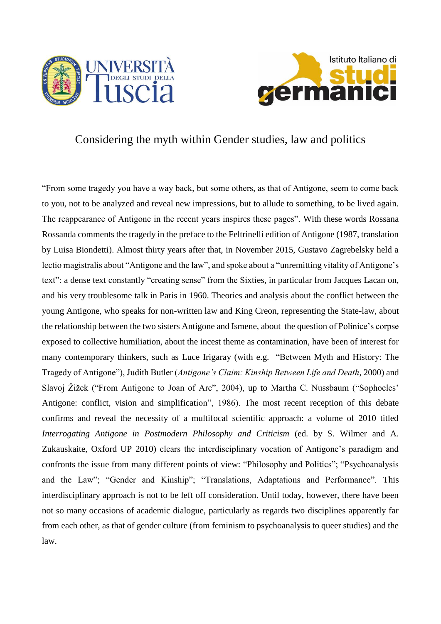



## Considering the myth within Gender studies, law and politics

"From some tragedy you have a way back, but some others, as that of Antigone, seem to come back to you, not to be analyzed and reveal new impressions, but to allude to something, to be lived again. The reappearance of Antigone in the recent years inspires these pages". With these words Rossana Rossanda comments the tragedy in the preface to the Feltrinelli edition of Antigone (1987, translation by Luisa Biondetti). Almost thirty years after that, in November 2015, Gustavo Zagrebelsky held a lectio magistralis about "Antigone and the law", and spoke about a "unremitting vitality of Antigone's text": a dense text constantly "creating sense" from the Sixties, in particular from Jacques Lacan on, and his very troublesome talk in Paris in 1960. Theories and analysis about the conflict between the young Antigone, who speaks for non-written law and King Creon, representing the State-law, about the relationship between the two sisters Antigone and Ismene, about the question of Polinice's corpse exposed to collective humiliation, about the incest theme as contamination, have been of interest for many contemporary thinkers, such as Luce Irigaray (with e.g. "Between Myth and History: The Tragedy of Antigone"), Judith Butler (*Antigone's Claim: Kinship Between Life and Death*, 2000) and Slavoj Žižek ("From Antigone to Joan of Arc", 2004), up to Martha C. Nussbaum ("Sophocles' Antigone: conflict, vision and simplification", 1986). The most recent reception of this debate confirms and reveal the necessity of a multifocal scientific approach: a volume of 2010 titled *Interrogating Antigone in Postmodern Philosophy and Criticism* (ed. by S. Wilmer and A. Zukauskaite, Oxford UP 2010) clears the interdisciplinary vocation of Antigone's paradigm and confronts the issue from many different points of view: "Philosophy and Politics"; "Psychoanalysis and the Law"; "Gender and Kinship"; "Translations, Adaptations and Performance". This interdisciplinary approach is not to be left off consideration. Until today, however, there have been not so many occasions of academic dialogue, particularly as regards two disciplines apparently far from each other, as that of gender culture (from feminism to psychoanalysis to queer studies) and the law.